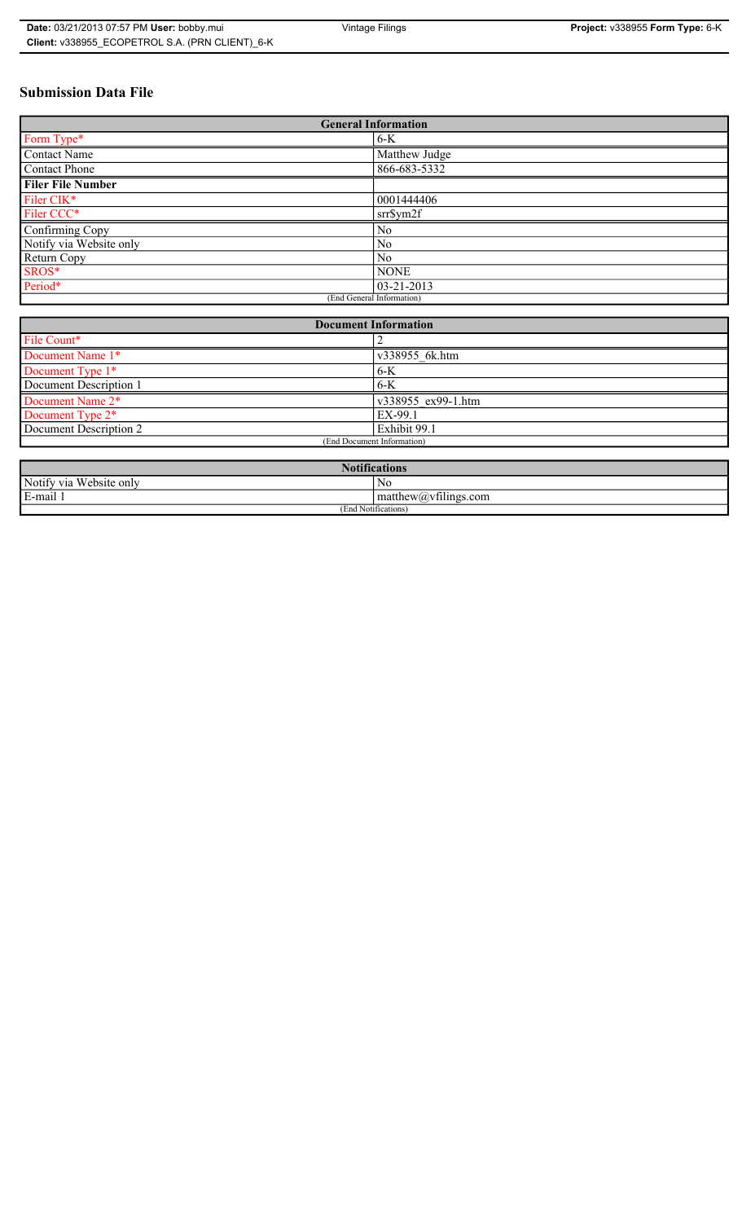# **Submission Data File**

| <b>General Information</b> |                  |  |
|----------------------------|------------------|--|
| Form Type*                 | $6-K$            |  |
| Contact Name               | Matthew Judge    |  |
| Contact Phone              | 866-683-5332     |  |
| <b>Filer File Number</b>   |                  |  |
| Filer CIK*                 | 0001444406       |  |
| Filer CCC*                 | srr\$ym2f        |  |
| Confirming Copy            | N <sub>0</sub>   |  |
| Notify via Website only    | N <sub>0</sub>   |  |
| Return Copy                | N <sub>0</sub>   |  |
| SROS*                      | <b>NONE</b>      |  |
| Period*                    | $03 - 21 - 2013$ |  |
| (End General Information)  |                  |  |

| <b>Document Information</b>  |                    |
|------------------------------|--------------------|
| File Count*                  |                    |
| Document Name 1*             | v338955 6k.htm     |
| Document Type 1*             | $6-K$              |
| Document Description 1       | $6-K$              |
| Document Name 2*             | v338955 ex99-1.htm |
| Document Type 2 <sup>*</sup> | EX-99.1            |
| Document Description 2       | Exhibit 99.1       |
| (End Document Information)   |                    |
|                              |                    |

| <b>Notifications</b>    |                                                   |  |
|-------------------------|---------------------------------------------------|--|
| Notify via Website only | N0                                                |  |
| E-mail 1                | $\sim$ 1.<br>$math>math>matrix(a)$ , villings.com |  |
| (End Notifications)     |                                                   |  |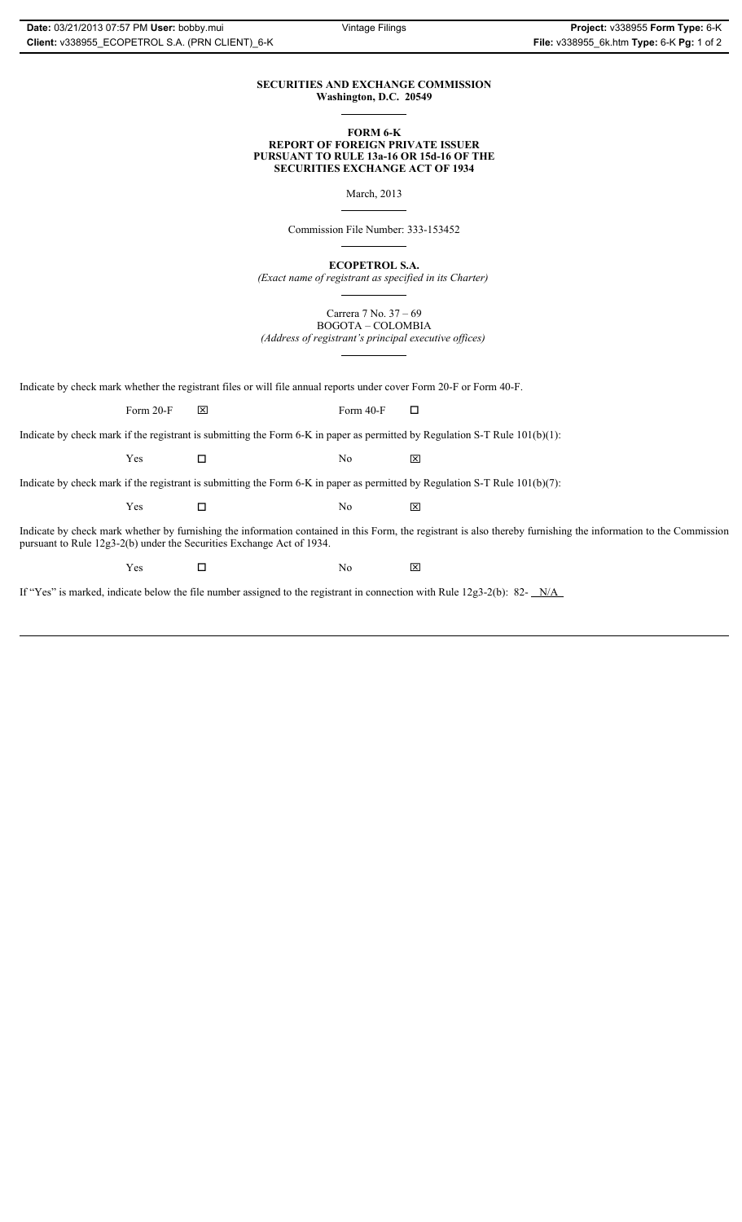# **SECURITIES AND EXCHANGE COMMISSION Washington, D.C. 20549**

# **FORM 6-K REPORT OF FOREIGN PRIVATE ISSUER PURSUANT TO RULE 13a-16 OR 15d-16 OF THE SECURITIES EXCHANGE ACT OF 1934**

March, 2013

Commission File Number: 333-153452

**ECOPETROL S.A.**

*(Exact name of registrant as specified in its Charter)*

Carrera 7 No. 37 – 69 BOGOTA – COLOMBIA

*(Address of registrant's principal executive offices)*

Indicate by check mark whether the registrant files or will file annual reports under cover Form 20-F or Form 40-F.

Form 20-F  $\boxtimes$  Form 40-F  $\Box$ 

Indicate by check mark if the registrant is submitting the Form 6-K in paper as permitted by Regulation S-T Rule 101(b)(1):

 $Yes$   $\Box$   $No$   $X$ 

Indicate by check mark if the registrant is submitting the Form 6-K in paper as permitted by Regulation S-T Rule 101(b)(7):

 $Yes$   $\Box$   $No$   $X$ 

Indicate by check mark whether by furnishing the information contained in this Form, the registrant is also thereby furnishing the information to the Commission pursuant to Rule 12g3-2(b) under the Securities Exchange Act of 1934.

 $Yes$   $\square$ 

If "Yes" is marked, indicate below the file number assigned to the registrant in connection with Rule 12g3-2(b): 82- N/A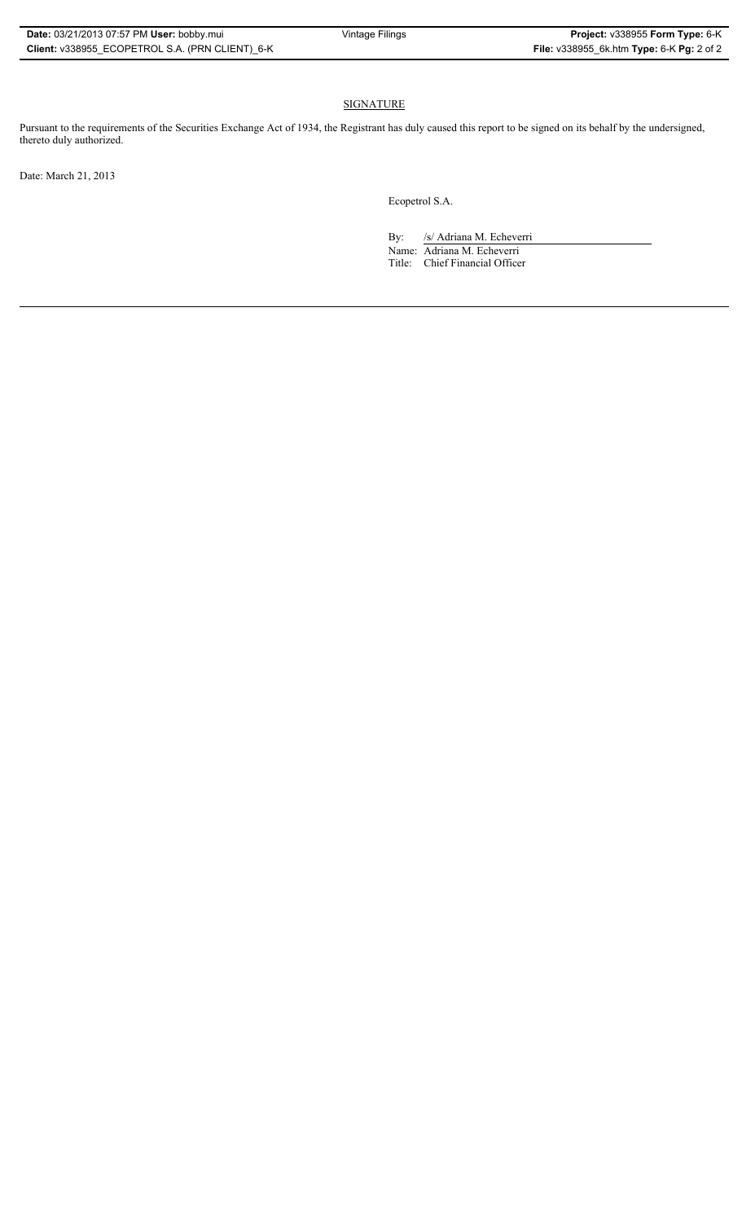# SIGNATURE

Pursuant to the requirements of the Securities Exchange Act of 1934, the Registrant has duly caused this report to be signed on its behalf by the undersigned, thereto duly authorized.

Date: March 21, 2013

Ecopetrol S.A.

By: /s/ Adriana M. Echeverri

Name: Adriana M. Echeverri Title: Chief Financial Officer